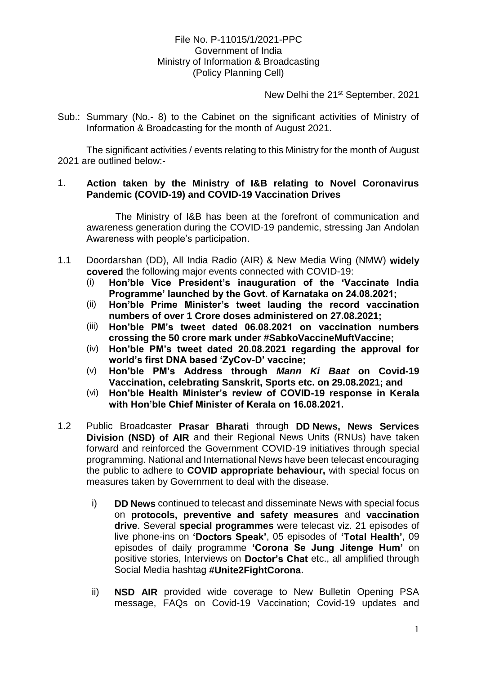# File No. P-11015/1/2021-PPC Government of India Ministry of Information & Broadcasting (Policy Planning Cell)

New Delhi the 21st September, 2021

Sub.: Summary (No.- 8) to the Cabinet on the significant activities of Ministry of Information & Broadcasting for the month of August 2021.

The significant activities / events relating to this Ministry for the month of August 2021 are outlined below:-

#### 1. **Action taken by the Ministry of I&B relating to Novel Coronavirus Pandemic (COVID-19) and COVID-19 Vaccination Drives**

The Ministry of I&B has been at the forefront of communication and awareness generation during the COVID-19 pandemic, stressing Jan Andolan Awareness with people's participation.

- 1.1 Doordarshan (DD), All India Radio (AIR) & New Media Wing (NMW) **widely covered** the following major events connected with COVID-19:
	- (i) **Hon'ble Vice President's inauguration of the 'Vaccinate India Programme' launched by the Govt. of Karnataka on 24.08.2021;**
	- (ii) **Hon'ble Prime Minister's tweet lauding the record vaccination numbers of over 1 Crore doses administered on 27.08.2021;**
	- (iii) **Hon'ble PM's tweet dated 06.08.2021 on vaccination numbers crossing the 50 crore mark under #SabkoVaccineMuftVaccine;**
	- (iv) **Hon'ble PM's tweet dated 20.08.2021 regarding the approval for world's first DNA based 'ZyCov-D' vaccine;**
	- (v) **Hon'ble PM's Address through** *Mann Ki Baat* **on Covid-19 Vaccination, celebrating Sanskrit, Sports etc. on 29.08.2021; and**
	- (vi) **Hon'ble Health Minister's review of COVID-19 response in Kerala with Hon'ble Chief Minister of Kerala on 16.08.2021.**
- 1.2 Public Broadcaster **Prasar Bharati** through **DD News, News Services Division (NSD) of AIR** and their Regional News Units (RNUs) have taken forward and reinforced the Government COVID-19 initiatives through special programming. National and International News have been telecast encouraging the public to adhere to **COVID appropriate behaviour,** with special focus on measures taken by Government to deal with the disease.
	- i) **DD News** continued to telecast and disseminate News with special focus on **protocols, preventive and safety measures** and **vaccination drive**. Several **special programmes** were telecast viz. 21 episodes of live phone-ins on **'Doctors Speak'**, 05 episodes of **'Total Health'**, 09 episodes of daily programme **'Corona Se Jung Jitenge Hum'** on positive stories, Interviews on **Doctor's Chat** etc., all amplified through Social Media hashtag **#Unite2FightCorona**.
	- ii) **NSD AIR** provided wide coverage to New Bulletin Opening PSA message, FAQs on Covid-19 Vaccination; Covid-19 updates and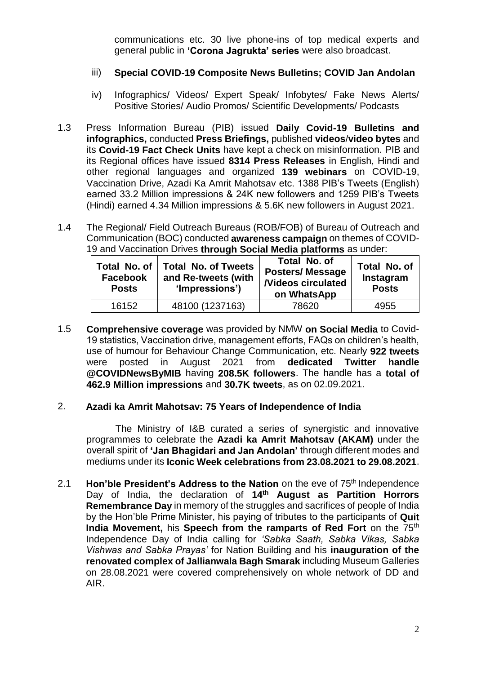communications etc. 30 live phone-ins of top medical experts and general public in **'Corona Jagrukta' series** were also broadcast.

## iii) **Special COVID-19 Composite News Bulletins; COVID Jan Andolan**

- iv) Infographics/ Videos/ Expert Speak/ Infobytes/ Fake News Alerts/ Positive Stories/ Audio Promos/ Scientific Developments/ Podcasts
- 1.3 Press Information Bureau (PIB) issued **Daily Covid-19 Bulletins and infographics,** conducted **Press Briefings,** published **videos**/**video bytes** and its **Covid-19 Fact Check Units** have kept a check on misinformation. PIB and its Regional offices have issued **8314 Press Releases** in English, Hindi and other regional languages and organized **139 webinars** on COVID-19, Vaccination Drive, Azadi Ka Amrit Mahotsav etc. 1388 PIB's Tweets (English) earned 33.2 Million impressions & 24K new followers and 1259 PIB's Tweets (Hindi) earned 4.34 Million impressions & 5.6K new followers in August 2021.
- 1.4 The Regional/ Field Outreach Bureaus (ROB/FOB) of Bureau of Outreach and Communication (BOC) conducted **awareness campaign** on themes of COVID-19 and Vaccination Drives **through Social Media platforms** as under:

| Total No. of<br><b>Facebook</b><br><b>Posts</b> | <b>Total No. of Tweets</b><br>and Re-tweets (with<br>'Impressions') | Total No. of<br><b>Posters/Message</b><br><b>/Videos circulated</b><br>on WhatsApp | Total No. of<br>Instagram<br><b>Posts</b> |
|-------------------------------------------------|---------------------------------------------------------------------|------------------------------------------------------------------------------------|-------------------------------------------|
| 16152                                           | 48100 (1237163)                                                     | 78620                                                                              | 4955                                      |

1.5 **Comprehensive coverage** was provided by NMW **on Social Media** to Covid-19 statistics, Vaccination drive, management efforts, FAQs on children's health, use of humour for Behaviour Change Communication, etc. Nearly **922 tweets** were posted in August 2021 from **dedicated Twitter handle @COVIDNewsByMIB** having **208.5K followers**. The handle has a **total of 462.9 Million impressions** and **30.7K tweets**, as on 02.09.2021.

#### 2. **Azadi ka Amrit Mahotsav: 75 Years of Independence of India**

The Ministry of I&B curated a series of synergistic and innovative programmes to celebrate the **Azadi ka Amrit Mahotsav (AKAM)** under the overall spirit of **'Jan Bhagidari and Jan Andolan'** through different modes and mediums under its **Iconic Week celebrations from 23.08.2021 to 29.08.2021**.

2.1 **Hon'ble President's Address to the Nation** on the eve of 75th Independence Day of India, the declaration of **14th August as Partition Horrors Remembrance Day** in memory of the struggles and sacrifices of people of India by the Hon'ble Prime Minister, his paying of tributes to the participants of **Quit India Movement, his Speech from the ramparts of Red Fort** on the 75<sup>th</sup> Independence Day of India calling for *'Sabka Saath, Sabka Vikas, Sabka Vishwas and Sabka Prayas'* for Nation Building and his **inauguration of the renovated complex of Jallianwala Bagh Smarak** including Museum Galleries on 28.08.2021 were covered comprehensively on whole network of DD and AIR.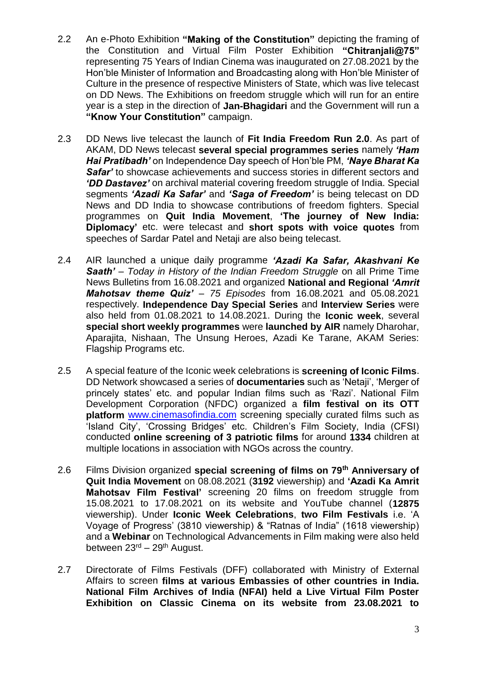- 2.2 An e-Photo Exhibition **"Making of the Constitution"** depicting the framing of the Constitution and Virtual Film Poster Exhibition **"Chitranjali@75"** representing 75 Years of Indian Cinema was inaugurated on 27.08.2021 by the Hon'ble Minister of Information and Broadcasting along with Hon'ble Minister of Culture in the presence of respective Ministers of State, which was live telecast on DD News. The Exhibitions on freedom struggle which will run for an entire year is a step in the direction of **Jan-Bhagidari** and the Government will run a **"Know Your Constitution"** campaign.
- 2.3 DD News live telecast the launch of **Fit India Freedom Run 2.0**. As part of AKAM, DD News telecast **several special programmes series** namely *'Ham Hai Pratibadh'* on Independence Day speech of Hon'ble PM, *'Naye Bharat Ka Safar'* to showcase achievements and success stories in different sectors and *'DD Dastavez'* on archival material covering freedom struggle of India. Special segments *'Azadi Ka Safar'* and *'Saga of Freedom'* is being telecast on DD News and DD India to showcase contributions of freedom fighters. Special programmes on **Quit India Movement**, **'The journey of New India: Diplomacy'** etc. were telecast and **short spots with voice quotes** from speeches of Sardar Patel and Netaji are also being telecast.
- 2.4 AIR launched a unique daily programme *'Azadi Ka Safar, Akashvani Ke Saath' – Today in History of the Indian Freedom Struggle* on all Prime Time News Bulletins from 16.08.2021 and organized **National and Regional** *'Amrit Mahotsav theme Quiz' – 75 Episodes* from 16.08.2021 and 05.08.2021 respectively. **Independence Day Special Series** and **Interview Series** were also held from 01.08.2021 to 14.08.2021. During the **Iconic week**, several **special short weekly programmes** were **launched by AIR** namely Dharohar, Aparajita, Nishaan, The Unsung Heroes, Azadi Ke Tarane, AKAM Series: Flagship Programs etc.
- 2.5 A special feature of the Iconic week celebrations is **screening of Iconic Films**. DD Network showcased a series of **documentaries** such as 'Netaji', 'Merger of princely states' etc. and popular Indian films such as 'Razi'. National Film Development Corporation (NFDC) organized a **film festival on its OTT platform** [www.cinemasofindia.com](http://www.cinemasofindia.com/) screening specially curated films such as 'Island City', 'Crossing Bridges' etc. Children's Film Society, India (CFSI) conducted **online screening of 3 patriotic films** for around **1334** children at multiple locations in association with NGOs across the country.
- 2.6 Films Division organized **special screening of films on 79th Anniversary of Quit India Movement** on 08.08.2021 (**3192** viewership) and **'Azadi Ka Amrit Mahotsav Film Festival'** screening 20 films on freedom struggle from 15.08.2021 to 17.08.2021 on its website and YouTube channel (**12875** viewership). Under **Iconic Week Celebrations**, **two Film Festivals** i.e. 'A Voyage of Progress' (3810 viewership) & "Ratnas of India" (1618 viewership) and a **Webinar** on Technological Advancements in Film making were also held between 23rd – 29th August.
- 2.7 Directorate of Films Festivals (DFF) collaborated with Ministry of External Affairs to screen **films at various Embassies of other countries in India. National Film Archives of India (NFAI) held a Live Virtual Film Poster Exhibition on Classic Cinema on its website from 23.08.2021 to**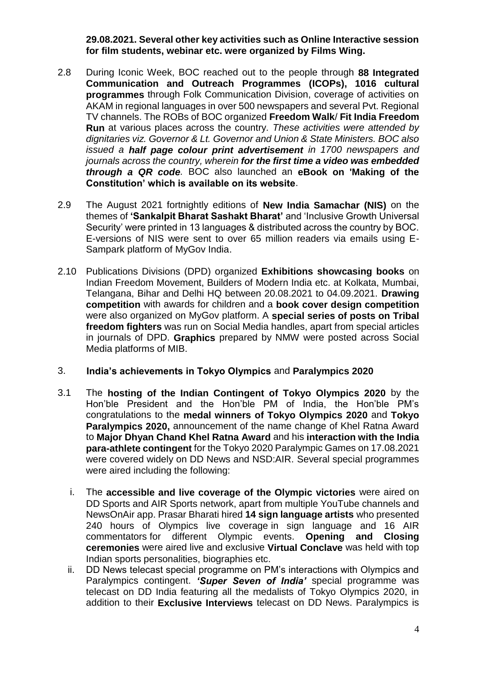### **29.08.2021. Several other key activities such as Online Interactive session for film students, webinar etc. were organized by Films Wing.**

- 2.8 During Iconic Week, BOC reached out to the people through **88 Integrated Communication and Outreach Programmes (ICOPs), 1016 cultural programmes** through Folk Communication Division, coverage of activities on AKAM in regional languages in over 500 newspapers and several Pvt. Regional TV channels. The ROBs of BOC organized **Freedom Walk**/ **Fit India Freedom Run** at various places across the country*. These activities were attended by dignitaries viz. Governor & Lt. Governor and Union & State Ministers. BOC also issued a half page colour print advertisement in 1700 newspapers and journals across the country, wherein for the first time a video was embedded through a QR code.* BOC also launched an **eBook on 'Making of the Constitution' which is available on its website**.
- 2.9 The August 2021 fortnightly editions of **New India Samachar (NIS)** on the themes of **'Sankalpit Bharat Sashakt Bharat'** and 'Inclusive Growth Universal Security' were printed in 13 languages & distributed across the country by BOC. E-versions of NIS were sent to over 65 million readers via emails using E-Sampark platform of MyGov India.
- 2.10 Publications Divisions (DPD) organized **Exhibitions showcasing books** on Indian Freedom Movement, Builders of Modern India etc. at Kolkata, Mumbai, Telangana, Bihar and Delhi HQ between 20.08.2021 to 04.09.2021. **Drawing competition** with awards for children and a **book cover design competition** were also organized on MyGov platform. A **special series of posts on Tribal freedom fighters** was run on Social Media handles, apart from special articles in journals of DPD. **Graphics** prepared by NMW were posted across Social Media platforms of MIB.

#### 3. **India's achievements in Tokyo Olympics** and **Paralympics 2020**

- 3.1 The **hosting of the Indian Contingent of Tokyo Olympics 2020** by the Hon'ble President and the Hon'ble PM of India, the Hon'ble PM's congratulations to the **medal winners of Tokyo Olympics 2020** and **Tokyo Paralympics 2020,** announcement of the name change of Khel Ratna Award to **Major Dhyan Chand Khel Ratna Award** and his **interaction with the India para-athlete contingent** for the Tokyo 2020 Paralympic Games on 17.08.2021 were covered widely on DD News and NSD:AIR. Several special programmes were aired including the following:
	- i. The **accessible and live coverage of the Olympic victories** were aired on DD Sports and AIR Sports network, apart from multiple YouTube channels and NewsOnAir app. Prasar Bharati hired **14 sign language artists** who presented 240 hours of Olympics live coverage in sign language and 16 AIR commentators for different Olympic events. **Opening and Closing ceremonies** were aired live and exclusive **Virtual Conclave** was held with top Indian sports personalities, biographies etc.
	- ii. DD News telecast special programme on PM's interactions with Olympics and Paralympics contingent. *'Super Seven of India'* special programme was telecast on DD India featuring all the medalists of Tokyo Olympics 2020, in addition to their **Exclusive Interviews** telecast on DD News. Paralympics is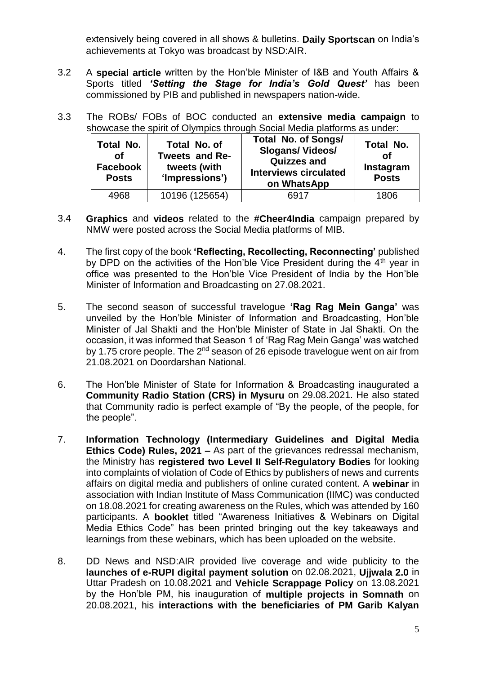extensively being covered in all shows & bulletins. **Daily Sportscan** on India's achievements at Tokyo was broadcast by NSD:AIR.

- 3.2 A **special article** written by the Hon'ble Minister of I&B and Youth Affairs & Sports titled *'Setting the Stage for India's Gold Quest'* has been commissioned by PIB and published in newspapers nation-wide.
- 3.3 The ROBs/ FOBs of BOC conducted an **extensive media campaign** to showcase the spirit of Olympics through Social Media platforms as under:

| Total No.<br><b>of</b><br>Facebook<br><b>Posts</b> | Total No. of<br>Tweets and Re-<br>tweets (with<br>'Impressions') | <b>Total No. of Songs/</b><br><b>Slogans/Videos/</b><br><b>Quizzes and</b><br><b>Interviews circulated</b><br>on WhatsApp | Total No.<br><b>of</b><br>Instagram<br><b>Posts</b> |
|----------------------------------------------------|------------------------------------------------------------------|---------------------------------------------------------------------------------------------------------------------------|-----------------------------------------------------|
| 4968                                               | 10196 (125654)                                                   | 6917                                                                                                                      | 1806                                                |

- 3.4 **Graphics** and **videos** related to the **#Cheer4India** campaign prepared by NMW were posted across the Social Media platforms of MIB.
- 4. The first copy of the book **'Reflecting, Recollecting, Reconnecting'** published by DPD on the activities of the Hon'ble Vice President during the  $4<sup>th</sup>$  year in office was presented to the Hon'ble Vice President of India by the Hon'ble Minister of Information and Broadcasting on 27.08.2021.
- 5. The second season of successful travelogue **'Rag Rag Mein Ganga'** was unveiled by the Hon'ble Minister of Information and Broadcasting, Hon'ble Minister of Jal Shakti and the Hon'ble Minister of State in Jal Shakti. On the occasion, it was informed that Season 1 of 'Rag Rag Mein Ganga' was watched by 1.75 crore people. The 2nd season of 26 episode travelogue went on air from 21.08.2021 on Doordarshan National.
- 6. The Hon'ble Minister of State for Information & Broadcasting inaugurated a **Community Radio Station (CRS) in Mysuru** on 29.08.2021. He also stated that Community radio is perfect example of "By the people, of the people, for the people".
- 7. **Information Technology (Intermediary Guidelines and Digital Media Ethics Code) Rules, 2021 –** As part of the grievances redressal mechanism, the Ministry has **registered two Level II Self-Regulatory Bodies** for looking into complaints of violation of Code of Ethics by publishers of news and currents affairs on digital media and publishers of online curated content. A **webinar** in association with Indian Institute of Mass Communication (IIMC) was conducted on 18.08.2021 for creating awareness on the Rules, which was attended by 160 participants. A **booklet** titled "Awareness Initiatives & Webinars on Digital Media Ethics Code" has been printed bringing out the key takeaways and learnings from these webinars, which has been uploaded on the website.
- 8. DD News and NSD:AIR provided live coverage and wide publicity to the **launches of e-RUPI digital payment solution** on 02.08.2021, **Ujjwala 2.0** in Uttar Pradesh on 10.08.2021 and **Vehicle Scrappage Policy** on 13.08.2021 by the Hon'ble PM, his inauguration of **multiple projects in Somnath** on 20.08.2021, his **interactions with the beneficiaries of PM Garib Kalyan**